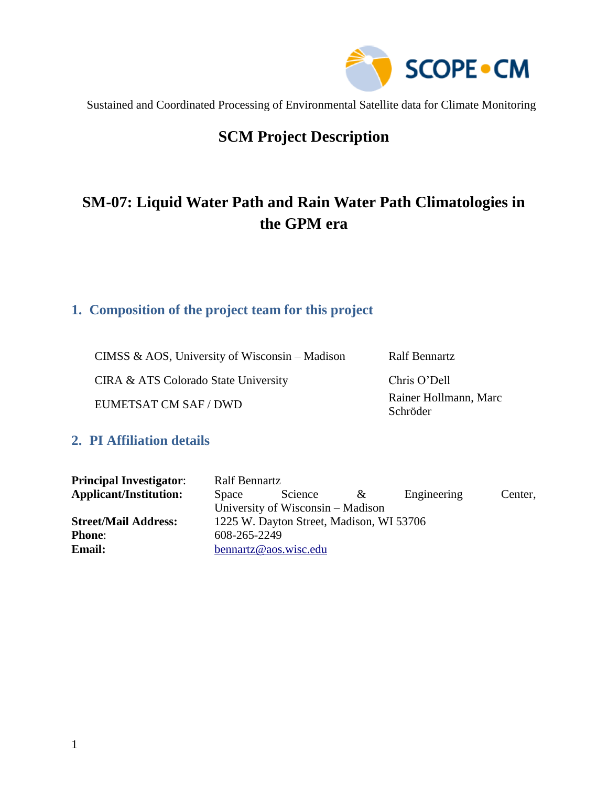

## **SCM Project Description**

# **SM-07: Liquid Water Path and Rain Water Path Climatologies in the GPM era**

### **1. Composition of the project team for this project**

CIMSS & AOS, University of Wisconsin – Madison Ralf Bennartz

CIRA & ATS Colorado State University Chris O'Dell

EUMETSAT CM SAF / DWD Rainer Hollmann, Marc

Schröder

### **2. PI Affiliation details**

| <b>Principal Investigator:</b> | <b>Ralf Bennartz</b>                     |                                   |          |             |         |  |  |
|--------------------------------|------------------------------------------|-----------------------------------|----------|-------------|---------|--|--|
| <b>Applicant/Institution:</b>  | Space                                    | Science                           | $\alpha$ | Engineering | Center, |  |  |
|                                |                                          | University of Wisconsin – Madison |          |             |         |  |  |
| <b>Street/Mail Address:</b>    | 1225 W. Dayton Street, Madison, WI 53706 |                                   |          |             |         |  |  |
| <b>Phone:</b>                  | 608-265-2249                             |                                   |          |             |         |  |  |
| <b>Email:</b>                  |                                          | bennartz@aos.wisc.edu             |          |             |         |  |  |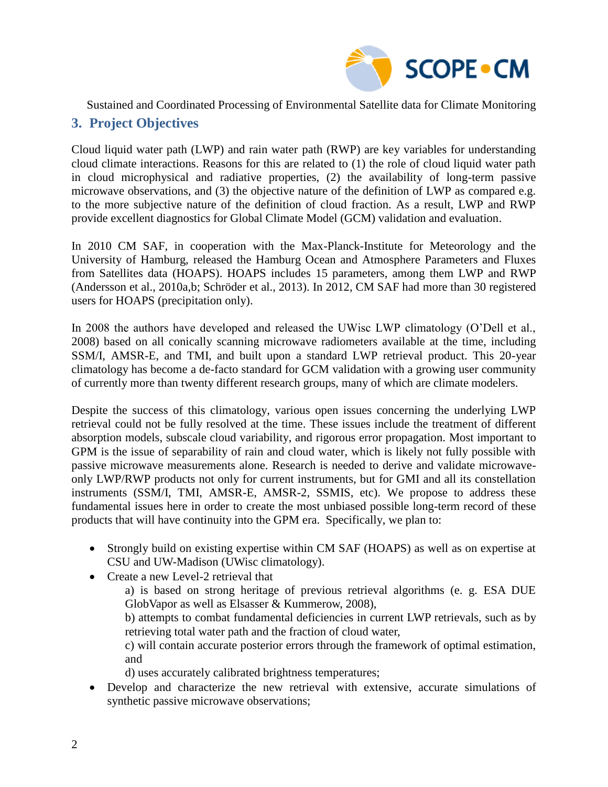

### **3. Project Objectives**

Cloud liquid water path (LWP) and rain water path (RWP) are key variables for understanding cloud climate interactions. Reasons for this are related to (1) the role of cloud liquid water path in cloud microphysical and radiative properties, (2) the availability of long-term passive microwave observations, and (3) the objective nature of the definition of LWP as compared e.g. to the more subjective nature of the definition of cloud fraction. As a result, LWP and RWP provide excellent diagnostics for Global Climate Model (GCM) validation and evaluation.

In 2010 CM SAF, in cooperation with the Max-Planck-Institute for Meteorology and the University of Hamburg, released the Hamburg Ocean and Atmosphere Parameters and Fluxes from Satellites data (HOAPS). HOAPS includes 15 parameters, among them LWP and RWP (Andersson et al., 2010a,b; Schröder et al., 2013). In 2012, CM SAF had more than 30 registered users for HOAPS (precipitation only).

In 2008 the authors have developed and released the UWisc LWP climatology (O'Dell et al., 2008) based on all conically scanning microwave radiometers available at the time, including SSM/I, AMSR-E, and TMI, and built upon a standard LWP retrieval product. This 20-year climatology has become a de-facto standard for GCM validation with a growing user community of currently more than twenty different research groups, many of which are climate modelers.

Despite the success of this climatology, various open issues concerning the underlying LWP retrieval could not be fully resolved at the time. These issues include the treatment of different absorption models, subscale cloud variability, and rigorous error propagation. Most important to GPM is the issue of separability of rain and cloud water, which is likely not fully possible with passive microwave measurements alone. Research is needed to derive and validate microwaveonly LWP/RWP products not only for current instruments, but for GMI and all its constellation instruments (SSM/I, TMI, AMSR-E, AMSR-2, SSMIS, etc). We propose to address these fundamental issues here in order to create the most unbiased possible long-term record of these products that will have continuity into the GPM era. Specifically, we plan to:

- Strongly build on existing expertise within CM SAF (HOAPS) as well as on expertise at CSU and UW-Madison (UWisc climatology).
- Create a new Level-2 retrieval that
	- a) is based on strong heritage of previous retrieval algorithms (e. g. ESA DUE GlobVapor as well as Elsasser & Kummerow, 2008),
	- b) attempts to combat fundamental deficiencies in current LWP retrievals, such as by retrieving total water path and the fraction of cloud water,

c) will contain accurate posterior errors through the framework of optimal estimation, and

- d) uses accurately calibrated brightness temperatures;
- Develop and characterize the new retrieval with extensive, accurate simulations of synthetic passive microwave observations;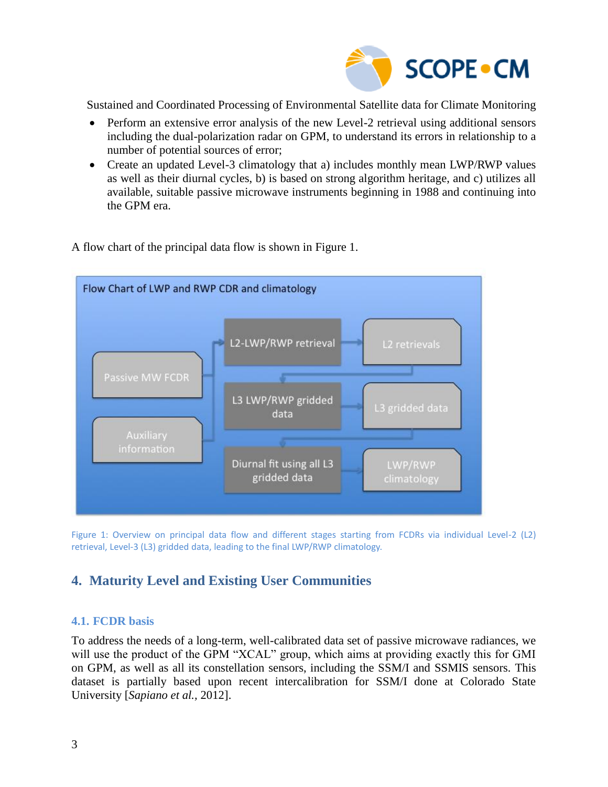

- Perform an extensive error analysis of the new Level-2 retrieval using additional sensors including the dual-polarization radar on GPM, to understand its errors in relationship to a number of potential sources of error;
- Create an updated Level-3 climatology that a) includes monthly mean LWP/RWP values as well as their diurnal cycles, b) is based on strong algorithm heritage, and c) utilizes all available, suitable passive microwave instruments beginning in 1988 and continuing into the GPM era.

Flow Chart of LWP and RWP CDR and climatology L2-LWP/RWP retrieval Passive MW FCDR L3 LWP/RWP gridded L3 gridded data data information Diurnal fit using all L3 LWP/RWP gridded data climatology

A flow chart of the principal data flow is shown in [Figure 1.](#page-2-0)

<span id="page-2-0"></span>Figure 1: Overview on principal data flow and different stages starting from FCDRs via individual Level-2 (L2) retrieval, Level-3 (L3) gridded data, leading to the final LWP/RWP climatology.

### **4. Maturity Level and Existing User Communities**

#### **4.1. FCDR basis**

To address the needs of a long-term, well-calibrated data set of passive microwave radiances, we will use the product of the GPM "XCAL" group, which aims at providing exactly this for GMI on GPM, as well as all its constellation sensors, including the SSM/I and SSMIS sensors. This dataset is partially based upon recent intercalibration for SSM/I done at Colorado State University [*Sapiano et al.,* 2012].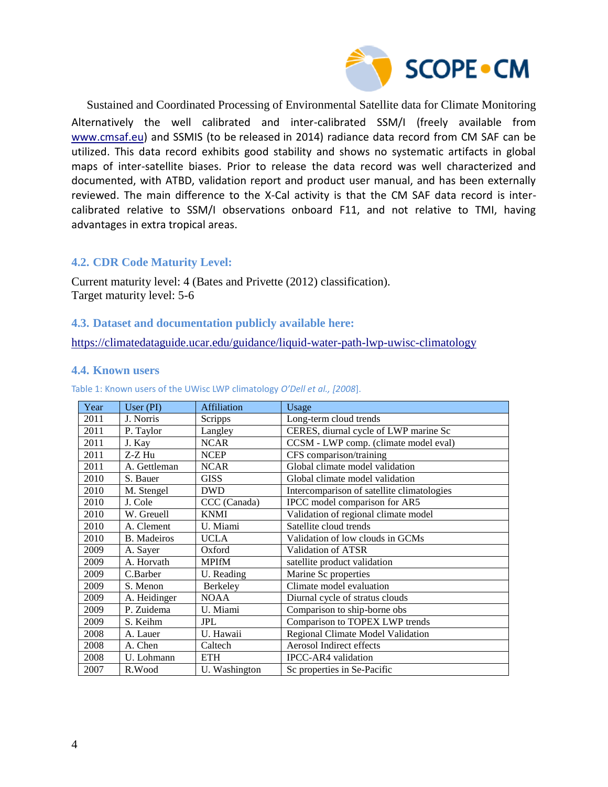

Sustained and Coordinated Processing of Environmental Satellite data for Climate Monitoring Alternatively the well calibrated and inter-calibrated SSM/I (freely available from [www.cmsaf.eu\)](http://www.cmsaf.eu/) and SSMIS (to be released in 2014) radiance data record from CM SAF can be utilized. This data record exhibits good stability and shows no systematic artifacts in global maps of inter-satellite biases. Prior to release the data record was well characterized and documented, with ATBD, validation report and product user manual, and has been externally reviewed. The main difference to the X-Cal activity is that the CM SAF data record is intercalibrated relative to SSM/I observations onboard F11, and not relative to TMI, having advantages in extra tropical areas.

#### **4.2. CDR Code Maturity Level:**

Current maturity level: 4 (Bates and Privette (2012) classification). Target maturity level: 5-6

#### **4.3. Dataset and documentation publicly available here:**

<https://climatedataguide.ucar.edu/guidance/liquid-water-path-lwp-uwisc-climatology>

#### **4.4. Known users**

| Year | User (PI)          | <b>Affiliation</b> | Usage                                      |
|------|--------------------|--------------------|--------------------------------------------|
| 2011 | J. Norris          | Scripps            | Long-term cloud trends                     |
| 2011 | P. Taylor          | Langley            | CERES, diurnal cycle of LWP marine Sc      |
| 2011 | J. Kay             | <b>NCAR</b>        | CCSM - LWP comp. (climate model eval)      |
| 2011 | Z-Z Hu             | <b>NCEP</b>        | CFS comparison/training                    |
| 2011 | A. Gettleman       | <b>NCAR</b>        | Global climate model validation            |
| 2010 | S. Bauer           | <b>GISS</b>        | Global climate model validation            |
| 2010 | M. Stengel         | <b>DWD</b>         | Intercomparison of satellite climatologies |
| 2010 | J. Cole            | CCC (Canada)       | IPCC model comparison for AR5              |
| 2010 | W. Greuell         | <b>KNMI</b>        | Validation of regional climate model       |
| 2010 | A. Clement         | U. Miami           | Satellite cloud trends                     |
| 2010 | <b>B.</b> Madeiros | <b>UCLA</b>        | Validation of low clouds in GCMs           |
| 2009 | A. Sayer           | Oxford             | Validation of ATSR                         |
| 2009 | A. Horvath         | <b>MPIfM</b>       | satellite product validation               |
| 2009 | C.Barber           | U. Reading         | Marine Sc properties                       |
| 2009 | S. Menon           | Berkeley           | Climate model evaluation                   |
| 2009 | A. Heidinger       | <b>NOAA</b>        | Diurnal cycle of stratus clouds            |
| 2009 | P. Zuidema         | U. Miami           | Comparison to ship-borne obs               |
| 2009 | S. Keihm           | <b>JPL</b>         | Comparison to TOPEX LWP trends             |
| 2008 | A. Lauer           | U. Hawaii          | Regional Climate Model Validation          |
| 2008 | A. Chen            | Caltech            | Aerosol Indirect effects                   |
| 2008 | U. Lohmann         | <b>ETH</b>         | <b>IPCC-AR4</b> validation                 |
| 2007 | R.Wood             | U. Washington      | Sc properties in Se-Pacific                |

Table 1: Known users of the UWisc LWP climatology *O'Dell et al., [2008*].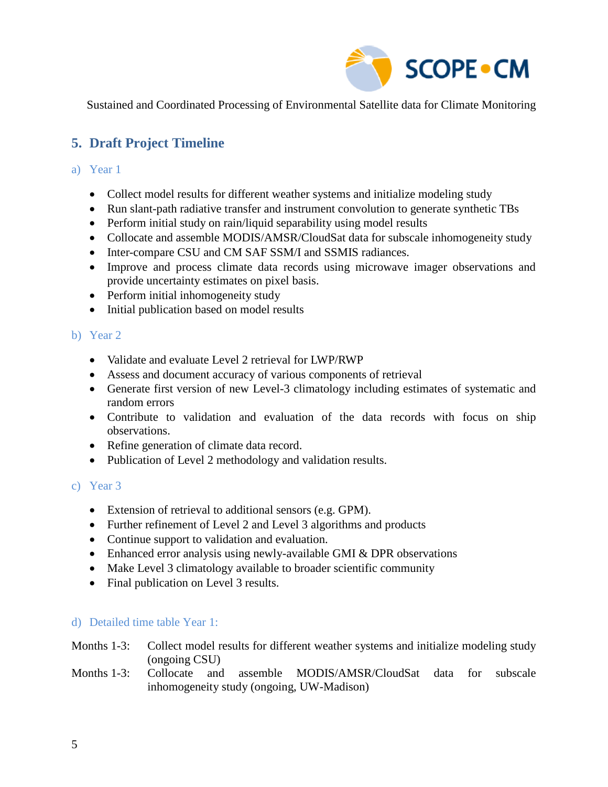

## **5. Draft Project Timeline**

#### a) Year 1

- Collect model results for different weather systems and initialize modeling study
- Run slant-path radiative transfer and instrument convolution to generate synthetic TBs
- Perform initial study on rain/liquid separability using model results
- Collocate and assemble MODIS/AMSR/CloudSat data for subscale inhomogeneity study
- Inter-compare CSU and CM SAF SSM/I and SSMIS radiances.
- Improve and process climate data records using microwave imager observations and provide uncertainty estimates on pixel basis.
- Perform initial inhomogeneity study
- Initial publication based on model results

### b) Year 2

- Validate and evaluate Level 2 retrieval for LWP/RWP
- Assess and document accuracy of various components of retrieval
- Generate first version of new Level-3 climatology including estimates of systematic and random errors
- Contribute to validation and evaluation of the data records with focus on ship observations.
- Refine generation of climate data record.
- Publication of Level 2 methodology and validation results.

#### c) Year 3

- Extension of retrieval to additional sensors (e.g. GPM).
- Further refinement of Level 2 and Level 3 algorithms and products
- Continue support to validation and evaluation.
- Enhanced error analysis using newly-available GMI & DPR observations
- Make Level 3 climatology available to broader scientific community
- Final publication on Level 3 results.

### d) Detailed time table Year 1:

#### Months 1-3: Collect model results for different weather systems and initialize modeling study (ongoing CSU)

#### Months 1-3: Collocate and assemble MODIS/AMSR/CloudSat data for subscale inhomogeneity study (ongoing, UW-Madison)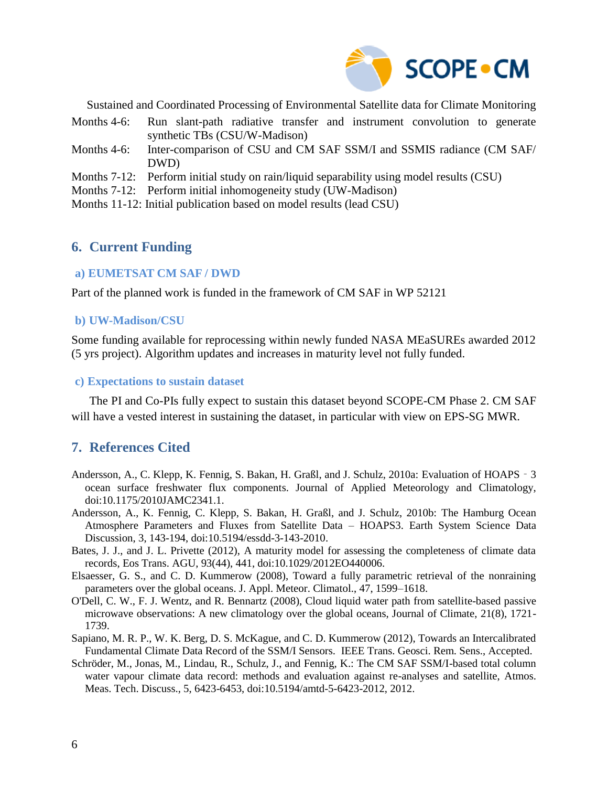

- Months 4-6: Run slant-path radiative transfer and instrument convolution to generate synthetic TBs (CSU/W-Madison)
- Months 4-6: Inter-comparison of CSU and CM SAF SSM/I and SSMIS radiance (CM SAF/ DWD)
- Months 7-12: Perform initial study on rain/liquid separability using model results (CSU)
- Months 7-12: Perform initial inhomogeneity study (UW-Madison)
- Months 11-12: Initial publication based on model results (lead CSU)

### **6. Current Funding**

#### **a) EUMETSAT CM SAF / DWD**

Part of the planned work is funded in the framework of CM SAF in WP 52121

#### **b) UW-Madison/CSU**

Some funding available for reprocessing within newly funded NASA MEaSUREs awarded 2012 (5 yrs project). Algorithm updates and increases in maturity level not fully funded.

#### **c) Expectations to sustain dataset**

The PI and Co-PIs fully expect to sustain this dataset beyond SCOPE-CM Phase 2. CM SAF will have a vested interest in sustaining the dataset, in particular with view on EPS-SG MWR.

### **7. References Cited**

- Andersson, A., C. Klepp, K. Fennig, S. Bakan, H. Graßl, and J. Schulz, 2010a: Evaluation of HOAPS‐3 ocean surface freshwater flux components. Journal of Applied Meteorology and Climatology, doi:10.1175/2010JAMC2341.1.
- Andersson, A., K. Fennig, C. Klepp, S. Bakan, H. Graßl, and J. Schulz, 2010b: The Hamburg Ocean Atmosphere Parameters and Fluxes from Satellite Data – HOAPS3. Earth System Science Data Discussion, 3, 143-194, doi:10.5194/essdd-3-143-2010.
- Bates, J. J., and J. L. Privette (2012), A maturity model for assessing the completeness of climate data records, Eos Trans. AGU, 93(44), 441, doi:10.1029/2012EO440006.
- Elsaesser, G. S., and C. D. Kummerow (2008), Toward a fully parametric retrieval of the nonraining parameters over the global oceans. J. Appl. Meteor. Climatol., 47, 1599–1618.
- O'Dell, C. W., F. J. Wentz, and R. Bennartz (2008), Cloud liquid water path from satellite-based passive microwave observations: A new climatology over the global oceans, Journal of Climate, 21(8), 1721- 1739.
- Sapiano, M. R. P., W. K. Berg, D. S. McKague, and C. D. Kummerow (2012), Towards an Intercalibrated Fundamental Climate Data Record of the SSM/I Sensors. IEEE Trans. Geosci. Rem. Sens., Accepted.
- Schröder, M., Jonas, M., Lindau, R., Schulz, J., and Fennig, K.: The CM SAF SSM/I-based total column water vapour climate data record: methods and evaluation against re-analyses and satellite, Atmos. Meas. Tech. Discuss., 5, 6423-6453, doi:10.5194/amtd-5-6423-2012, 2012.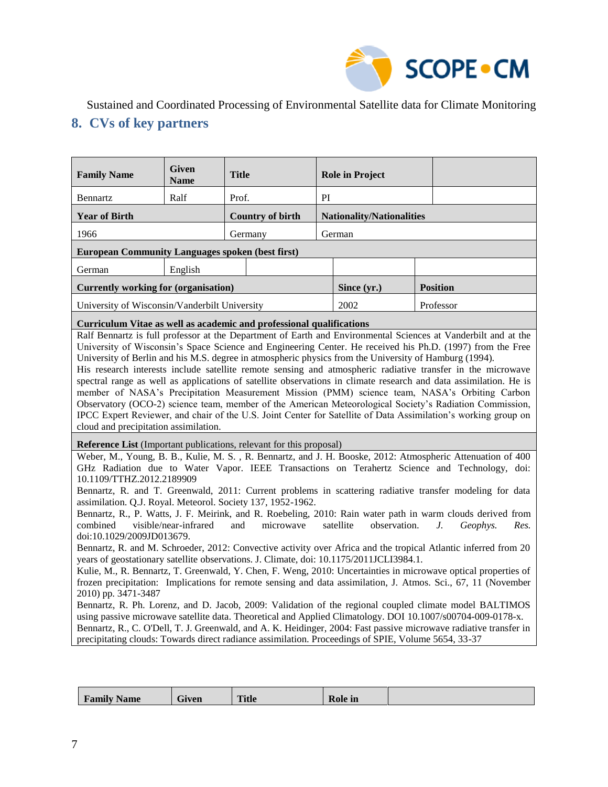

## **8. CVs of key partners**

| <b>Family Name</b>                                                                                                                                                                                                                                                                                                                                                                                                                                                                                                                                                                                                                                                                                                                                                                                                                                                                                                                                                                                                                                                                                                                                                                                                                                                                                                                                                                                                                                                                                                                                                                                                                                                                                 | <b>Given</b><br><b>Name</b> | <b>Title</b>                                                         |                                  | <b>Role in Project</b> |  |                 |  |  |
|----------------------------------------------------------------------------------------------------------------------------------------------------------------------------------------------------------------------------------------------------------------------------------------------------------------------------------------------------------------------------------------------------------------------------------------------------------------------------------------------------------------------------------------------------------------------------------------------------------------------------------------------------------------------------------------------------------------------------------------------------------------------------------------------------------------------------------------------------------------------------------------------------------------------------------------------------------------------------------------------------------------------------------------------------------------------------------------------------------------------------------------------------------------------------------------------------------------------------------------------------------------------------------------------------------------------------------------------------------------------------------------------------------------------------------------------------------------------------------------------------------------------------------------------------------------------------------------------------------------------------------------------------------------------------------------------------|-----------------------------|----------------------------------------------------------------------|----------------------------------|------------------------|--|-----------------|--|--|
| Bennartz                                                                                                                                                                                                                                                                                                                                                                                                                                                                                                                                                                                                                                                                                                                                                                                                                                                                                                                                                                                                                                                                                                                                                                                                                                                                                                                                                                                                                                                                                                                                                                                                                                                                                           | Ralf                        | Prof.                                                                | PI                               |                        |  |                 |  |  |
| <b>Year of Birth</b>                                                                                                                                                                                                                                                                                                                                                                                                                                                                                                                                                                                                                                                                                                                                                                                                                                                                                                                                                                                                                                                                                                                                                                                                                                                                                                                                                                                                                                                                                                                                                                                                                                                                               |                             | <b>Country of birth</b>                                              | <b>Nationality/Nationalities</b> |                        |  |                 |  |  |
| 1966                                                                                                                                                                                                                                                                                                                                                                                                                                                                                                                                                                                                                                                                                                                                                                                                                                                                                                                                                                                                                                                                                                                                                                                                                                                                                                                                                                                                                                                                                                                                                                                                                                                                                               |                             | Germany                                                              |                                  | German                 |  |                 |  |  |
| <b>European Community Languages spoken (best first)</b>                                                                                                                                                                                                                                                                                                                                                                                                                                                                                                                                                                                                                                                                                                                                                                                                                                                                                                                                                                                                                                                                                                                                                                                                                                                                                                                                                                                                                                                                                                                                                                                                                                            |                             |                                                                      |                                  |                        |  |                 |  |  |
| German                                                                                                                                                                                                                                                                                                                                                                                                                                                                                                                                                                                                                                                                                                                                                                                                                                                                                                                                                                                                                                                                                                                                                                                                                                                                                                                                                                                                                                                                                                                                                                                                                                                                                             | English                     |                                                                      |                                  |                        |  |                 |  |  |
| <b>Currently working for (organisation)</b>                                                                                                                                                                                                                                                                                                                                                                                                                                                                                                                                                                                                                                                                                                                                                                                                                                                                                                                                                                                                                                                                                                                                                                                                                                                                                                                                                                                                                                                                                                                                                                                                                                                        |                             |                                                                      |                                  | Since (yr.)            |  | <b>Position</b> |  |  |
| University of Wisconsin/Vanderbilt University                                                                                                                                                                                                                                                                                                                                                                                                                                                                                                                                                                                                                                                                                                                                                                                                                                                                                                                                                                                                                                                                                                                                                                                                                                                                                                                                                                                                                                                                                                                                                                                                                                                      |                             |                                                                      |                                  | 2002                   |  | Professor       |  |  |
|                                                                                                                                                                                                                                                                                                                                                                                                                                                                                                                                                                                                                                                                                                                                                                                                                                                                                                                                                                                                                                                                                                                                                                                                                                                                                                                                                                                                                                                                                                                                                                                                                                                                                                    |                             | Curriculum Vitae as well as academic and professional qualifications |                                  |                        |  |                 |  |  |
| University of Berlin and his M.S. degree in atmospheric physics from the University of Hamburg (1994).<br>His research interests include satellite remote sensing and atmospheric radiative transfer in the microwave<br>spectral range as well as applications of satellite observations in climate research and data assimilation. He is<br>member of NASA's Precipitation Measurement Mission (PMM) science team, NASA's Orbiting Carbon<br>Observatory (OCO-2) science team, member of the American Meteorological Society's Radiation Commission,<br>IPCC Expert Reviewer, and chair of the U.S. Joint Center for Satellite of Data Assimilation's working group on<br>cloud and precipitation assimilation.                                                                                                                                                                                                                                                                                                                                                                                                                                                                                                                                                                                                                                                                                                                                                                                                                                                                                                                                                                                  |                             |                                                                      |                                  |                        |  |                 |  |  |
| <b>Reference List</b> (Important publications, relevant for this proposal)<br>Weber, M., Young, B. B., Kulie, M. S., R. Bennartz, and J. H. Booske, 2012: Atmospheric Attenuation of 400<br>GHz Radiation due to Water Vapor. IEEE Transactions on Terahertz Science and Technology, doi:<br>10.1109/TTHZ.2012.2189909<br>Bennartz, R. and T. Greenwald, 2011: Current problems in scattering radiative transfer modeling for data<br>assimilation. Q.J. Royal. Meteorol. Society 137, 1952-1962.<br>Bennartz, R., P. Watts, J. F. Meirink, and R. Roebeling, 2010: Rain water path in warm clouds derived from<br>visible/near-infrared<br>observation.<br>combined<br>and<br>microwave<br>satellite<br>$J_{\cdot}$<br>Geophys.<br>Res.<br>doi:10.1029/2009JD013679.<br>Bennartz, R. and M. Schroeder, 2012: Convective activity over Africa and the tropical Atlantic inferred from 20<br>years of geostationary satellite observations. J. Climate, doi: 10.1175/2011JCLI3984.1.<br>Kulie, M., R. Bennartz, T. Greenwald, Y. Chen, F. Weng, 2010: Uncertainties in microwave optical properties of<br>frozen precipitation: Implications for remote sensing and data assimilation, J. Atmos. Sci., 67, 11 (November<br>2010) pp. 3471-3487<br>Bennartz, R. Ph. Lorenz, and D. Jacob, 2009: Validation of the regional coupled climate model BALTIMOS<br>using passive microwave satellite data. Theoretical and Applied Climatology. DOI 10.1007/s00704-009-0178-x.<br>Bennartz, R., C. O'Dell, T. J. Greenwald, and A. K. Heidinger, 2004: Fast passive microwave radiative transfer in<br>precipitating clouds: Towards direct radiance assimilation. Proceedings of SPIE, Volume 5654, 33-37 |                             |                                                                      |                                  |                        |  |                 |  |  |

| $ -$<br>$\bullet$<br><b>Family Name</b> | $\sim$<br>Given | <b>Title</b> | <b>Role</b> in |  |
|-----------------------------------------|-----------------|--------------|----------------|--|
|                                         |                 |              |                |  |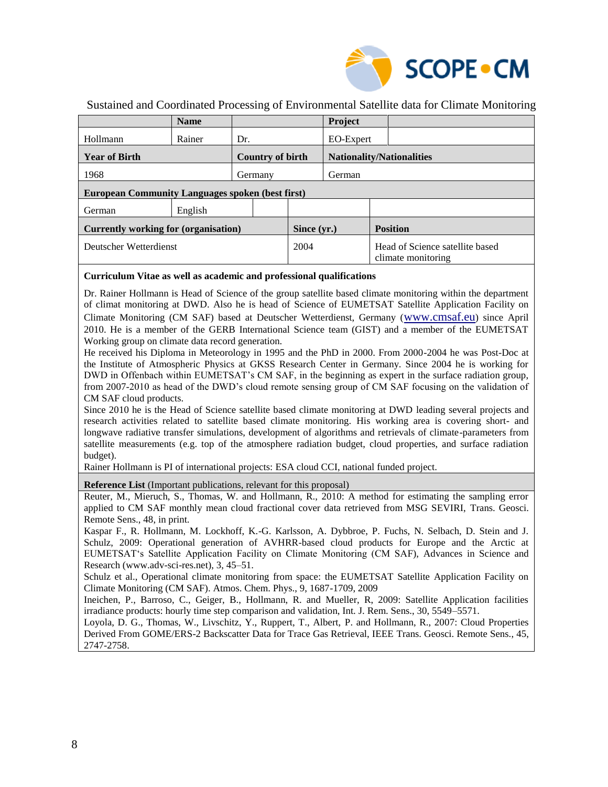

| <b>Name</b>                                             |     |                         |             | Project                          |  |                                                       |  |  |
|---------------------------------------------------------|-----|-------------------------|-------------|----------------------------------|--|-------------------------------------------------------|--|--|
| Rainer                                                  | Dr. |                         |             |                                  |  |                                                       |  |  |
| <b>Year of Birth</b>                                    |     | <b>Country of birth</b> |             | <b>Nationality/Nationalities</b> |  |                                                       |  |  |
| 1968<br>Germany                                         |     |                         |             | German                           |  |                                                       |  |  |
| <b>European Community Languages spoken (best first)</b> |     |                         |             |                                  |  |                                                       |  |  |
| English                                                 |     |                         |             |                                  |  |                                                       |  |  |
| Currently working for (organisation)                    |     |                         | Since (yr.) |                                  |  | <b>Position</b>                                       |  |  |
| Deutscher Wetterdienst                                  |     |                         | 2004        |                                  |  | Head of Science satellite based<br>climate monitoring |  |  |
|                                                         |     |                         |             |                                  |  | EO-Expert                                             |  |  |

#### **Curriculum Vitae as well as academic and professional qualifications**

Dr. Rainer Hollmann is Head of Science of the group satellite based climate monitoring within the department of climat monitoring at DWD. Also he is head of Science of EUMETSAT Satellite Application Facility on Climate Monitoring (CM SAF) based at Deutscher Wetterdienst, Germany ([www.cmsaf.eu](http://www.cmsaf.eu/)) since April 2010. He is a member of the GERB International Science team (GIST) and a member of the EUMETSAT Working group on climate data record generation.

He received his Diploma in Meteorology in 1995 and the PhD in 2000. From 2000-2004 he was Post-Doc at the Institute of Atmospheric Physics at GKSS Research Center in Germany. Since 2004 he is working for DWD in Offenbach within EUMETSAT's CM SAF, in the beginning as expert in the surface radiation group, from 2007-2010 as head of the DWD's cloud remote sensing group of CM SAF focusing on the validation of CM SAF cloud products.

Since 2010 he is the Head of Science satellite based climate monitoring at DWD leading several projects and research activities related to satellite based climate monitoring. His working area is covering short- and longwave radiative transfer simulations, development of algorithms and retrievals of climate-parameters from satellite measurements (e.g. top of the atmosphere radiation budget, cloud properties, and surface radiation budget).

Rainer Hollmann is PI of international projects: ESA cloud CCI, national funded project.

**Reference List** (Important publications, relevant for this proposal)

Reuter, M., Mieruch, S., Thomas, W. and Hollmann, R., 2010: A method for estimating the sampling error applied to CM SAF monthly mean cloud fractional cover data retrieved from MSG SEVIRI, Trans. Geosci. Remote Sens., 48, in print.

Kaspar F., R. Hollmann, M. Lockhoff, K.-G. Karlsson, A. Dybbroe, P. Fuchs, N. Selbach, D. Stein and J. Schulz, 2009: Operational generation of AVHRR-based cloud products for Europe and the Arctic at EUMETSAT's Satellite Application Facility on Climate Monitoring (CM SAF), Advances in Science and Research (www.adv-sci-res.net), 3, 45–51.

Schulz et al., Operational climate monitoring from space: the EUMETSAT Satellite Application Facility on Climate Monitoring (CM SAF). Atmos. Chem. Phys., 9, 1687-1709, 2009

Ineichen, P., Barroso, C., Geiger, B., Hollmann, R. and Mueller, R, 2009: Satellite Application facilities irradiance products: hourly time step comparison and validation, Int. J. Rem. Sens., 30, 5549–5571.

Loyola, D. G., Thomas, W., Livschitz, Y., Ruppert, T., Albert, P. and Hollmann, R., 2007: Cloud Properties Derived From GOME/ERS-2 Backscatter Data for Trace Gas Retrieval, IEEE Trans. Geosci. Remote Sens., 45, 2747-2758.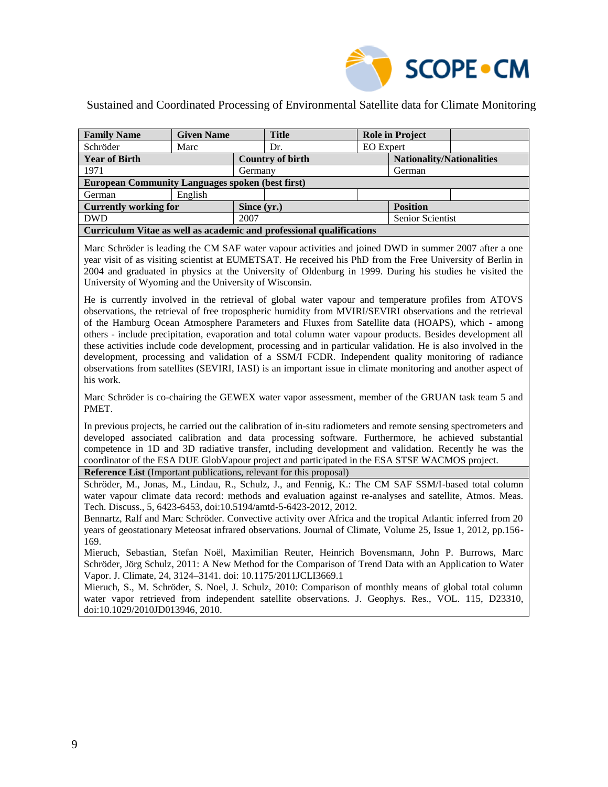

| <b>Family Name</b>                                                   | <b>Given Name</b> |             | <b>Title</b>            |                                  | <b>Role in Project</b> |  |  |
|----------------------------------------------------------------------|-------------------|-------------|-------------------------|----------------------------------|------------------------|--|--|
| Schröder                                                             | Marc              |             | Dr.                     | <b>EO</b> Expert                 |                        |  |  |
| <b>Year of Birth</b>                                                 |                   |             | <b>Country of birth</b> | <b>Nationality/Nationalities</b> |                        |  |  |
| 1971                                                                 |                   | Germany     |                         |                                  | German                 |  |  |
| <b>European Community Languages spoken (best first)</b>              |                   |             |                         |                                  |                        |  |  |
| German                                                               | English           |             |                         |                                  |                        |  |  |
| <b>Currently working for</b>                                         |                   | Since (yr.) |                         |                                  | <b>Position</b>        |  |  |
| <b>DWD</b>                                                           |                   | 2007        |                         |                                  | Senior Scientist       |  |  |
| Curriculum Vitae as well as academic and professional qualifications |                   |             |                         |                                  |                        |  |  |

Marc Schröder is leading the CM SAF water vapour activities and joined DWD in summer 2007 after a one year visit of as visiting scientist at EUMETSAT. He received his PhD from the Free University of Berlin in 2004 and graduated in physics at the University of Oldenburg in 1999. During his studies he visited the University of Wyoming and the University of Wisconsin.

He is currently involved in the retrieval of global water vapour and temperature profiles from ATOVS observations, the retrieval of free tropospheric humidity from MVIRI/SEVIRI observations and the retrieval of the Hamburg Ocean Atmosphere Parameters and Fluxes from Satellite data (HOAPS), which - among others - include precipitation, evaporation and total column water vapour products. Besides development all these activities include code development, processing and in particular validation. He is also involved in the development, processing and validation of a SSM/I FCDR. Independent quality monitoring of radiance observations from satellites (SEVIRI, IASI) is an important issue in climate monitoring and another aspect of his work.

Marc Schröder is co-chairing the GEWEX water vapor assessment, member of the GRUAN task team 5 and PMET.

In previous projects, he carried out the calibration of in-situ radiometers and remote sensing spectrometers and developed associated calibration and data processing software. Furthermore, he achieved substantial competence in 1D and 3D radiative transfer, including development and validation. Recently he was the coordinator of the ESA DUE GlobVapour project and participated in the ESA STSE WACMOS project.

**Reference List** (Important publications, relevant for this proposal)

Schröder, M., Jonas, M., Lindau, R., Schulz, J., and Fennig, K.: The CM SAF SSM/I-based total column water vapour climate data record: methods and evaluation against re-analyses and satellite, Atmos. Meas. Tech. Discuss., 5, 6423-6453, doi:10.5194/amtd-5-6423-2012, 2012.

Bennartz, Ralf and Marc Schröder. Convective activity over Africa and the tropical Atlantic inferred from 20 years of geostationary Meteosat infrared observations. Journal of Climate, Volume 25, Issue 1, 2012, pp.156- 169.

Mieruch, Sebastian, Stefan Noël, Maximilian Reuter, Heinrich Bovensmann, John P. Burrows, Marc Schröder, Jörg Schulz, 2011: [A New Method for the Comparison of Trend Data with an Application to Water](http://journals.ametsoc.org/doi/abs/10.1175/2011JCLI3669.1?prevSearch=mieruch&searchHistoryKey=)  [Vapor.](http://journals.ametsoc.org/doi/abs/10.1175/2011JCLI3669.1?prevSearch=mieruch&searchHistoryKey=) J. Climate, 24, 3124–3141. doi: 10.1175/2011JCLI3669.1

Mieruch, S., M. Schröder, S. Noel, J. Schulz, 2010: Comparison of monthly means of global total column water vapor retrieved from independent satellite observations. J. Geophys. Res., VOL. 115, D23310, doi:10.1029/2010JD013946, 2010.